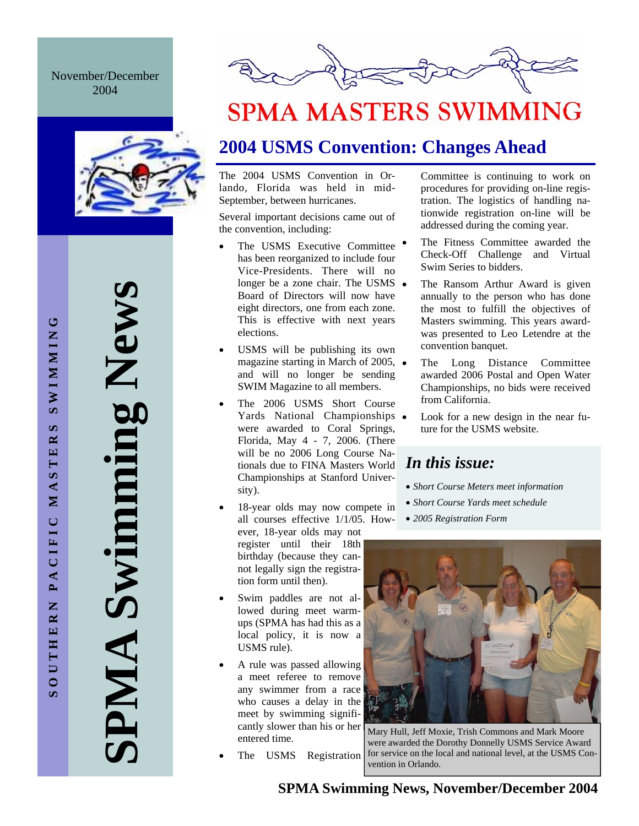## November/December 2004



# **SPMA Swimming News**  Swimming News AIMP



# **SPMA MASTERS SWIMMING**

# **2004 USMS Convention: Changes Ahead**

The 2004 USMS Convention in Orlando, Florida was held in mid-September, between hurricanes.

Several important decisions came out of the convention, including:

- The USMS Executive Committee has been reorganized to include four Vice-Presidents. There will no longer be a zone chair. The USMS • Board of Directors will now have eight directors, one from each zone. This is effective with next years elections.
- USMS will be publishing its own magazine starting in March of 2005, and will no longer be sending SWIM Magazine to all members.
- The 2006 USMS Short Course Yards National Championships • were awarded to Coral Springs, Florida, May 4 - 7, 2006. (There will be no 2006 Long Course Nationals due to FINA Masters World *In this issue:*  Championships at Stanford University).
- 18-year olds may now compete in all courses effective 1/1/05. However, 18-year olds may not register until their 18th birthday (because they cannot legally sign the registration form until then).
- Swim paddles are not allowed during meet warmups (SPMA has had this as a local policy, it is now a USMS rule).
- A rule was passed allowing a meet referee to remove any swimmer from a race who causes a delay in the meet by swimming significantly slower than his or her entered time.
- The USMS Registration

Committee is continuing to work on procedures for providing on-line registration. The logistics of handling nationwide registration on-line will be addressed during the coming year.

- The Fitness Committee awarded the Check-Off Challenge and Virtual Swim Series to bidders.
- The Ransom Arthur Award is given annually to the person who has done the most to fulfill the objectives of Masters swimming. This years awardwas presented to Leo Letendre at the convention banquet.
- The Long Distance Committee awarded 2006 Postal and Open Water Championships, no bids were received from California.
- Look for a new design in the near future for the USMS website.

- *Short Course Meters meet information*
- *Short Course Yards meet schedule*
- *2005 Registration Form*



Mary Hull, Jeff Moxie, Trish Commons and Mark Moore were awarded the Dorothy Donnelly USMS Service Award for service on the local and national level, at the USMS Convention in Orlando.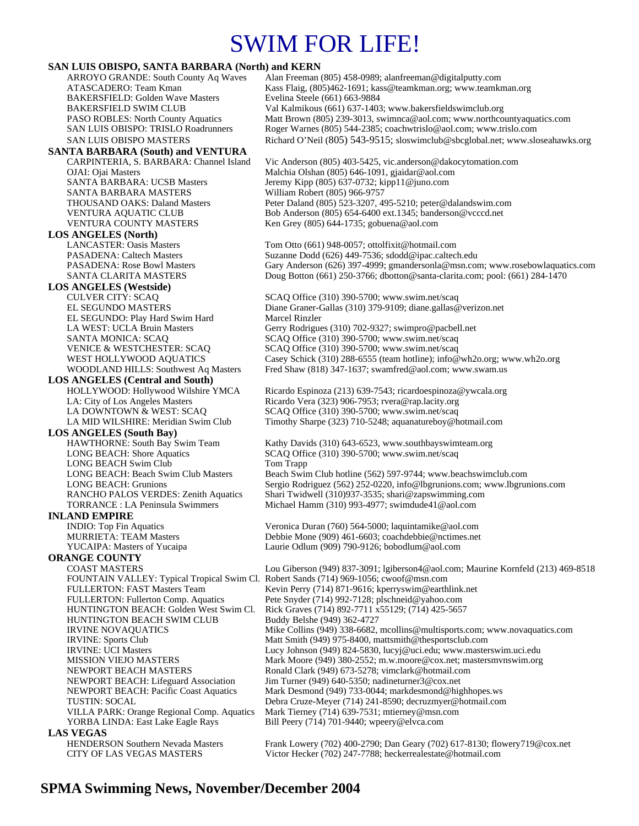# SWIM FOR LIFE!

## **SAN LUIS OBISPO, SANTA BARBARA (North) and KERN**

| SAN LUIS UDISFU, SANTA DAKDAKA (NOFUI) ahu KEKN                                       | Alan Freeman (805) 458-0989; alanfreeman@digitalputty.com                        |
|---------------------------------------------------------------------------------------|----------------------------------------------------------------------------------|
| ARROYO GRANDE: South County Aq Waves<br>ATASCADERO: Team Kman                         | Kass Flaig, (805)462-1691; kass@teamkman.org; www.teamkman.org                   |
| <b>BAKERSFIELD: Golden Wave Masters</b>                                               | Evelina Steele (661) 663-9884                                                    |
|                                                                                       | Val Kalmikous (661) 637-1403; www.bakersfieldswimclub.org                        |
| <b>BAKERSFIELD SWIM CLUB</b>                                                          |                                                                                  |
| <b>PASO ROBLES: North County Aquatics</b>                                             | Matt Brown (805) 239-3013, swimnca@aol.com; www.northcountyaquatics.com          |
| SAN LUIS OBISPO: TRISLO Roadrunners                                                   | Roger Warnes (805) 544-2385; coachwtrislo@aol.com; www.trislo.com                |
| SAN LUIS OBISPO MASTERS                                                               | Richard O'Neil (805) 543-9515; sloswimclub@sbcglobal.net; www.sloseahawks.org    |
| <b>SANTA BARBARA (South) and VENTURA</b>                                              |                                                                                  |
| CARPINTERIA, S. BARBARA: Channel Island                                               | Vic Anderson (805) 403-5425, vic.anderson@dakocytomation.com                     |
| OJAI: Ojai Masters                                                                    | Malchia Olshan (805) 646-1091, gjaidar@aol.com                                   |
| SANTA BARBARA: UCSB Masters                                                           | Jeremy Kipp (805) 637-0732; kipp11@juno.com                                      |
| SANTA BARBARA MASTERS                                                                 | William Robert (805) 966-9757                                                    |
| <b>THOUSAND OAKS: Daland Masters</b>                                                  | Peter Daland (805) 523-3207, 495-5210; peter@dalandswim.com                      |
| VENTURA AQUATIC CLUB                                                                  | Bob Anderson (805) 654-6400 ext.1345; banderson@vcccd.net                        |
| VENTURA COUNTY MASTERS                                                                | Ken Grey (805) 644-1735; gobuena@aol.com                                         |
| <b>LOS ANGELES (North)</b>                                                            |                                                                                  |
| <b>LANCASTER: Oasis Masters</b>                                                       | Tom Otto (661) 948-0057; ottolfixit@hotmail.com                                  |
| <b>PASADENA: Caltech Masters</b>                                                      | Suzanne Dodd (626) 449-7536; sdodd@ipac.caltech.edu                              |
| <b>PASADENA: Rose Bowl Masters</b>                                                    | Gary Anderson (626) 397-4999; gmandersonla@msn.com; www.rosebowlaquatics.com     |
| SANTA CLARITA MASTERS                                                                 | Doug Botton (661) 250-3766; dbotton@santa-clarita.com; pool: (661) 284-1470      |
| <b>LOS ANGELES</b> (Westside)                                                         |                                                                                  |
| <b>CULVER CITY: SCAQ</b>                                                              | SCAQ Office (310) 390-5700; www.swim.net/scaq                                    |
| EL SEGUNDO MASTERS                                                                    | Diane Graner-Gallas (310) 379-9109; diane.gallas@verizon.net                     |
| EL SEGUNDO: Play Hard Swim Hard                                                       | Marcel Rinzler                                                                   |
| LA WEST: UCLA Bruin Masters                                                           | Gerry Rodrigues (310) 702-9327; swimpro@pacbell.net                              |
| <b>SANTA MONICA: SCAQ</b>                                                             | SCAQ Office (310) 390-5700; www.swim.net/scaq                                    |
| <b>VENICE &amp; WESTCHESTER: SCAQ</b>                                                 | SCAQ Office (310) 390-5700; www.swim.net/scaq                                    |
| WEST HOLLYWOOD AQUATICS                                                               | Casey Schick (310) 288-6555 (team hotline); info@wh2o.org; www.wh2o.org          |
| <b>WOODLAND HILLS: Southwest Aq Masters</b>                                           | Fred Shaw (818) 347-1637; swamfred@aol.com; www.swam.us                          |
| <b>LOS ANGELES (Central and South)</b>                                                |                                                                                  |
| HOLLYWOOD: Hollywood Wilshire YMCA                                                    | Ricardo Espinoza (213) 639-7543; ricardo espinoza@vwcala.org                     |
| LA: City of Los Angeles Masters                                                       | Ricardo Vera (323) 906-7953; rvera@rap.lacity.org                                |
| LA DOWNTOWN & WEST: SCAQ                                                              | SCAQ Office (310) 390-5700; www.swim.net/scaq                                    |
| LA MID WILSHIRE: Meridian Swim Club                                                   | Timothy Sharpe (323) 710-5248; aquanatureboy@hotmail.com                         |
| <b>LOS ANGELES</b> (South Bay)                                                        |                                                                                  |
|                                                                                       |                                                                                  |
| HAWTHORNE: South Bay Swim Team                                                        | Kathy Davids (310) 643-6523, www.southbayswimteam.org                            |
| <b>LONG BEACH: Shore Aquatics</b>                                                     | SCAQ Office (310) 390-5700; www.swim.net/scaq                                    |
| <b>LONG BEACH Swim Club</b>                                                           | Tom Trapp                                                                        |
| LONG BEACH: Beach Swim Club Masters                                                   | Beach Swim Club hotline (562) 597-9744; www.beachswimclub.com                    |
| <b>LONG BEACH: Grunions</b>                                                           | Sergio Rodriguez (562) 252-0220, info@lbgrunions.com; www.lbgrunions.com         |
| RANCHO PALOS VERDES: Zenith Aquatics<br><b>TORRANCE</b> : LA Peninsula Swimmers       | Shari Twidwell (310)937-3535; shari@zapswimming.com                              |
|                                                                                       | Michael Hamm (310) 993-4977; swimdude41@aol.com                                  |
| <b>INLAND EMPIRE</b>                                                                  |                                                                                  |
| <b>INDIO:</b> Top Fin Aquatics                                                        | Veronica Duran (760) 564-5000; laquintamike@aol.com                              |
| <b>MURRIETA: TEAM Masters</b>                                                         | Debbie Mone (909) 461-6603; coachdebbie@nctimes.net                              |
| YUCAIPA: Masters of Yucaipa                                                           | Laurie Odlum (909) 790-9126; bobodlum@aol.com                                    |
| <b>ORANGE COUNTY</b>                                                                  |                                                                                  |
| <b>COAST MASTERS</b>                                                                  | Lou Giberson (949) 837-3091; lgiberson4@aol.com; Maurine Kornfeld (213) 469-8518 |
| FOUNTAIN VALLEY: Typical Tropical Swim Cl. Robert Sands (714) 969-1056; cwoof@msn.com |                                                                                  |
| <b>FULLERTON: FAST Masters Team</b>                                                   | Kevin Perry (714) 871-9616; kperryswim@earthlink.net                             |
| FULLERTON: Fullerton Comp. Aquatics                                                   | Pete Snyder (714) 992-7128; plschneid@yahoo.com                                  |
| HUNTINGTON BEACH: Golden West Swim Cl.                                                | Rick Graves (714) 892-7711 x55129; (714) 425-5657                                |
| HUNTINGTON BEACH SWIM CLUB                                                            | Buddy Belshe (949) 362-4727                                                      |
| <b>IRVINE NOVAQUATICS</b>                                                             | Mike Collins (949) 338-6682, mcollins@multisports.com; www.novaquatics.com       |
| <b>IRVINE:</b> Sports Club                                                            | Matt Smith (949) 975-8400, mattsmith@thesportsclub.com                           |
| <b>IRVINE: UCI Masters</b>                                                            | Lucy Johnson (949) 824-5830, lucyj@uci.edu; www.masterswim.uci.edu               |
| <b>MISSION VIEJO MASTERS</b>                                                          | Mark Moore (949) 380-2552; m.w.moore@cox.net; mastersmynswim.org                 |
| NEWPORT BEACH MASTERS                                                                 | Ronald Clark (949) 673-5278; vimclark@hotmail.com                                |
| <b>NEWPORT BEACH: Lifeguard Association</b>                                           | Jim Turner (949) 640-5350; nadineturner $3@cos$ .net                             |
| <b>NEWPORT BEACH: Pacific Coast Aquatics</b>                                          | Mark Desmond (949) 733-0044; markdesmond@highhopes.ws                            |
| <b>TUSTIN: SOCAL</b>                                                                  | Debra Cruze-Meyer (714) 241-8590; decruzmyer@hotmail.com                         |
| VILLA PARK: Orange Regional Comp. Aquatics                                            | Mark Tierney (714) 639-7531; mtierney@msn.com                                    |
| YORBA LINDA: East Lake Eagle Rays                                                     | Bill Peery (714) 701-9440; wpeery@elvca.com                                      |
| <b>LAS VEGAS</b>                                                                      |                                                                                  |
| <b>HENDERSON Southern Nevada Masters</b>                                              | Frank Lowery (702) 400-2790; Dan Geary (702) 617-8130; flowery719@cox.net        |
| CITY OF LAS VEGAS MASTERS                                                             | Victor Hecker (702) 247-7788; heckerrealestate@hotmail.com                       |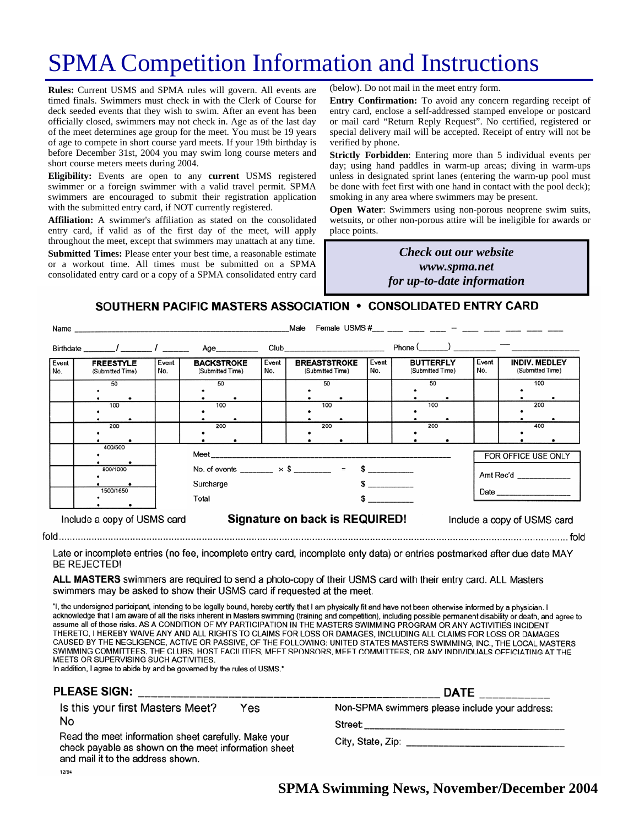# SPMA Competition Information and Instructions

**Rules:** Current USMS and SPMA rules will govern. All events are timed finals. Swimmers must check in with the Clerk of Course for deck seeded events that they wish to swim. After an event has been officially closed, swimmers may not check in. Age as of the last day of the meet determines age group for the meet. You must be 19 years of age to compete in short course yard meets. If your 19th birthday is before December 31st, 2004 you may swim long course meters and short course meters meets during 2004.

**Eligibility:** Events are open to any **current** USMS registered swimmer or a foreign swimmer with a valid travel permit. SPMA swimmers are encouraged to submit their registration application with the submitted entry card, if NOT currently registered.

**Affiliation:** A swimmer's affiliation as stated on the consolidated entry card, if valid as of the first day of the meet, will apply throughout the meet, except that swimmers may unattach at any time. **Submitted Times:** Please enter your best time, a reasonable estimate or a workout time. All times must be submitted on a SPMA consolidated entry card or a copy of a SPMA consolidated entry card

(below). Do not mail in the meet entry form.

**Entry Confirmation:** To avoid any concern regarding receipt of entry card, enclose a self-addressed stamped envelope or postcard or mail card "Return Reply Request". No certified, registered or special delivery mail will be accepted. Receipt of entry will not be verified by phone.

**Strictly Forbidden**: Entering more than 5 individual events per day; using hand paddles in warm-up areas; diving in warm-ups unless in designated sprint lanes (entering the warm-up pool must be done with feet first with one hand in contact with the pool deck); smoking in any area where swimmers may be present.

**Open Water:** Swimmers using non-porous neoprene swim suits, wetsuits, or other non-porous attire will be ineligible for awards or place points.

## *Many the Check out our website Check out our website hosting www.spma.net providing dinner! for up-to-date information*

## SOUTHERN PACIFIC MASTERS ASSOCIATION • CONSOLIDATED ENTRY CARD

|                             | Name                                 |              |                                       |                                                               | Male                                                                                                                                                                                                                           |                                                            |                                      |                     |                                          |  |
|-----------------------------|--------------------------------------|--------------|---------------------------------------|---------------------------------------------------------------|--------------------------------------------------------------------------------------------------------------------------------------------------------------------------------------------------------------------------------|------------------------------------------------------------|--------------------------------------|---------------------|------------------------------------------|--|
|                             | Birthdate $\frac{1}{\sqrt{2}}$       |              | Age                                   |                                                               | Club and the contract of the contract of the contract of the contract of the contract of the contract of the contract of the contract of the contract of the contract of the contract of the contract of the contract of the c |                                                            | $Phone($ $)$ $)$ $)$                 |                     |                                          |  |
| Event<br>No.                | <b>FREESTYLE</b><br>(Submitted Time) | Event<br>No. | <b>BACKSTROKE</b><br>(Submitted Time) | Event<br>No.                                                  | <b>BREASTSTROKE</b><br>(Submitted Time)                                                                                                                                                                                        | Event<br>No.                                               | <b>BUTTERFLY</b><br>(Submitted Time) | Event<br>No.        | <b>INDIV. MEDLEY</b><br>(Submitted Time) |  |
|                             | 50                                   |              | 50                                    |                                                               | 50                                                                                                                                                                                                                             |                                                            | 50                                   |                     | 100                                      |  |
|                             | 100                                  |              | 100                                   |                                                               | 100                                                                                                                                                                                                                            |                                                            | 100                                  |                     | 200                                      |  |
|                             | 200                                  |              | 200                                   |                                                               | 200                                                                                                                                                                                                                            |                                                            | 200                                  |                     | 400                                      |  |
|                             | 400/500                              |              |                                       |                                                               |                                                                                                                                                                                                                                |                                                            |                                      | FOR OFFICE USE ONLY |                                          |  |
|                             | 800/1000                             | Surcharge    |                                       |                                                               |                                                                                                                                                                                                                                | No. of events ________ $\times$ \$ ________ = \$ _________ |                                      |                     | Amt Rec'd                                |  |
|                             | 1500/1650                            | Total        |                                       |                                                               | $\sim$                                                                                                                                                                                                                         |                                                            |                                      |                     |                                          |  |
| Include a copy of USMS card |                                      |              |                                       | Signature on back is REQUIRED!<br>Include a copy of USMS card |                                                                                                                                                                                                                                |                                                            |                                      |                     |                                          |  |

Late or incomplete entries (no fee, incomplete entry card, incomplete enty data) or entries postmarked after due date MAY **BE REJECTED!** 

ALL MASTERS swimmers are required to send a photo-copy of their USMS card with their entry card. ALL Masters swimmers may be asked to show their USMS card if requested at the meet.

"I, the undersigned participant, intending to be legally bound, hereby certify that I am physically fit and have not been otherwise informed by a physician. I acknowledge that I am aware of all the risks inherent in Masters swimming (training and competition), including possible permanent disability or death, and agree to assume all of those risks. AS A CONDITION OF MY PARTICIPATION IN THE MASTERS SWIMMING PROGRAM OR ANY ACTIVITIES INCIDENT THERETO, I HEREBY WAIVE ANY AND ALL RIGHTS TO CLAIMS FOR LOSS OR DAMAGES, INCLUDING ALL CLAIMS FOR LOSS OR DAMAGES CAUSED BY THE NEGLIGENCE, ACTIVE OR PASSIVE, OF THE FOLLOWING: UNITED STATES MASTERS SWIMMING, INC., THE LOCAL MASTERS SWIMMING COMMITTEES, THE CLUBS, HOST FACILITIES, MEET SPONSORS, MEET COMMITTEES, OR ANY INDIVIDUALS OFFICIATING AT THE MEETS OR SUPERVISING SUCH ACTIVITIES.

In addition, I agree to abide by and be governed by the rules of USMS."

| <b>PLEASE SIGN:</b>                                                                                                                               | <b>DATE</b>                                    |  |  |
|---------------------------------------------------------------------------------------------------------------------------------------------------|------------------------------------------------|--|--|
| Is this your first Masters Meet?<br>Yes                                                                                                           | Non-SPMA swimmers please include your address: |  |  |
| No                                                                                                                                                | Street:                                        |  |  |
| Read the meet information sheet carefully. Make your<br>check payable as shown on the meet information sheet<br>and mail it to the address shown. |                                                |  |  |
| 12/94                                                                                                                                             |                                                |  |  |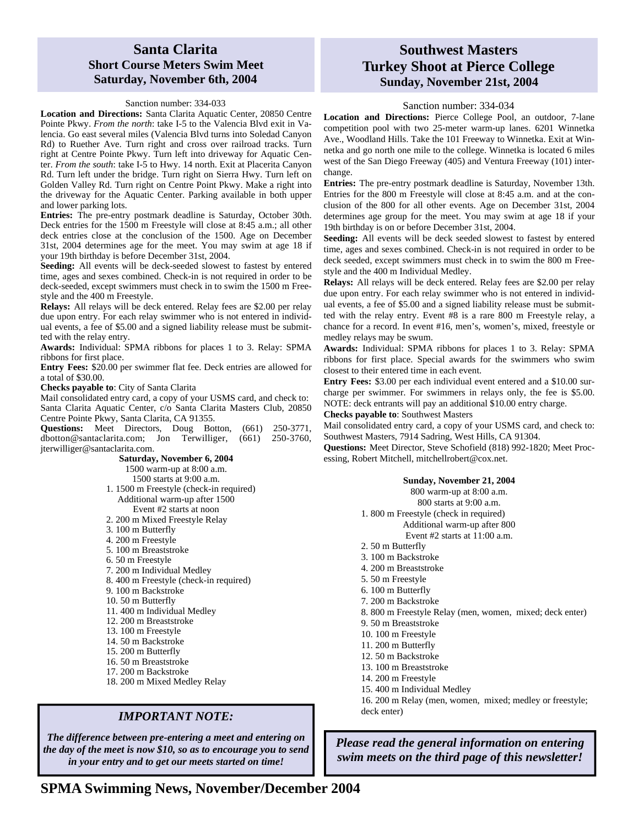## **Santa Clarita Short Course Meters Swim Meet Saturday, November 6th, 2004**

#### Sanction number: 334-033

**Location and Directions:** Santa Clarita Aquatic Center, 20850 Centre Pointe Pkwy. *From the north*: take I-5 to the Valencia Blvd exit in Valencia. Go east several miles (Valencia Blvd turns into Soledad Canyon Rd) to Ruether Ave. Turn right and cross over railroad tracks. Turn right at Centre Pointe Pkwy. Turn left into driveway for Aquatic Center. *From the south*: take I-5 to Hwy. 14 north. Exit at Placerita Canyon Rd. Turn left under the bridge. Turn right on Sierra Hwy. Turn left on Golden Valley Rd. Turn right on Centre Point Pkwy. Make a right into the driveway for the Aquatic Center. Parking available in both upper and lower parking lots.

**Entries:** The pre-entry postmark deadline is Saturday, October 30th. Deck entries for the 1500 m Freestyle will close at 8:45 a.m.; all other deck entries close at the conclusion of the 1500. Age on December 31st, 2004 determines age for the meet. You may swim at age 18 if your 19th birthday is before December 31st, 2004.

**Seeding:** All events will be deck-seeded slowest to fastest by entered time, ages and sexes combined. Check-in is not required in order to be deck-seeded, except swimmers must check in to swim the 1500 m Freestyle and the 400 m Freestyle.

**Relays:** All relays will be deck entered. Relay fees are \$2.00 per relay due upon entry. For each relay swimmer who is not entered in individual events, a fee of \$5.00 and a signed liability release must be submitted with the relay entry.

**Awards:** Individual: SPMA ribbons for places 1 to 3. Relay: SPMA ribbons for first place.

**Entry Fees:** \$20.00 per swimmer flat fee. Deck entries are allowed for a total of \$30.00.

**Checks payable to**: City of Santa Clarita

Mail consolidated entry card, a copy of your USMS card, and check to: Santa Clarita Aquatic Center, c/o Santa Clarita Masters Club, 20850 Centre Pointe Pkwy, Santa Clarita, CA 91355.

**Questions:** Meet Directors, Doug Botton, (661) 250-3771, dbotton@santaclarita.com; Jon Terwilliger, (661) 250-3760, jterwilliger@santaclarita.com.

> **Saturday, November 6, 2004**  1500 warm-up at 8:00 a.m. 1500 starts at 9:00 a.m. 1. 1500 m Freestyle (check-in required) Additional warm-up after 1500 Event #2 starts at noon 2. 200 m Mixed Freestyle Relay 3. 100 m Butterfly 4. 200 m Freestyle 5. 100 m Breaststroke 6. 50 m Freestyle 7. 200 m Individual Medley 8. 400 m Freestyle (check-in required) 9. 100 m Backstroke 10. 50 m Butterfly 11. 400 m Individual Medley 12. 200 m Breaststroke 13. 100 m Freestyle 14. 50 m Backstroke 15. 200 m Butterfly 16. 50 m Breaststroke 17. 200 m Backstroke 18. 200 m Mixed Medley Relay

### *IMPORTANT NOTE:*

*The difference between pre-entering a meet and entering on the day of the meet is now \$10, so as to encourage you to send in your entry and to get our meets started on time!* 

## **Southwest Masters Turkey Shoot at Pierce College Sunday, November 21st, 2004**

#### Sanction number: 334-034

**Location and Directions:** Pierce College Pool, an outdoor, 7-lane competition pool with two 25-meter warm-up lanes. 6201 Winnetka Ave., Woodland Hills. Take the 101 Freeway to Winnetka. Exit at Winnetka and go north one mile to the college. Winnetka is located 6 miles west of the San Diego Freeway (405) and Ventura Freeway (101) interchange.

**Entries:** The pre-entry postmark deadline is Saturday, November 13th. Entries for the 800 m Freestyle will close at 8:45 a.m. and at the conclusion of the 800 for all other events. Age on December 31st, 2004 determines age group for the meet. You may swim at age 18 if your 19th birthday is on or before December 31st, 2004.

**Seeding:** All events will be deck seeded slowest to fastest by entered time, ages and sexes combined. Check-in is not required in order to be deck seeded, except swimmers must check in to swim the 800 m Freestyle and the 400 m Individual Medley.

**Relays:** All relays will be deck entered. Relay fees are \$2.00 per relay due upon entry. For each relay swimmer who is not entered in individual events, a fee of \$5.00 and a signed liability release must be submitted with the relay entry. Event #8 is a rare 800 m Freestyle relay, a chance for a record. In event #16, men's, women's, mixed, freestyle or medley relays may be swum.

**Awards:** Individual: SPMA ribbons for places 1 to 3. Relay: SPMA ribbons for first place. Special awards for the swimmers who swim closest to their entered time in each event.

**Entry Fees:** \$3.00 per each individual event entered and a \$10.00 surcharge per swimmer. For swimmers in relays only, the fee is \$5.00. NOTE: deck entrants will pay an additional \$10.00 entry charge.

**Checks payable to**: Southwest Masters

Mail consolidated entry card, a copy of your USMS card, and check to: Southwest Masters, 7914 Sadring, West Hills, CA 91304.

**Questions:** Meet Director, Steve Schofield (818) 992-1820; Meet Processing, Robert Mitchell, mitchellrobert@cox.net.

#### **Sunday, November 21, 2004**

800 warm-up at 8:00 a.m. 800 starts at 9:00 a.m. 1. 800 m Freestyle (check in required) Additional warm-up after 800 Event #2 starts at 11:00 a.m. 2. 50 m Butterfly 3. 100 m Backstroke

- 4. 200 m Breaststroke
- 5. 50 m Freestyle
- 6. 100 m Butterfly
- 7. 200 m Backstroke
- 8. 800 m Freestyle Relay (men, women, mixed; deck enter)
- 9. 50 m Breaststroke
- 10. 100 m Freestyle
- 11. 200 m Butterfly
- 12. 50 m Backstroke
- 13. 100 m Breaststroke
- 14. 200 m Freestyle
- 15. 400 m Individual Medley
- 16. 200 m Relay (men, women, mixed; medley or freestyle; deck enter)

*Please read the general information on entering swim meets on the third page of this newsletter!*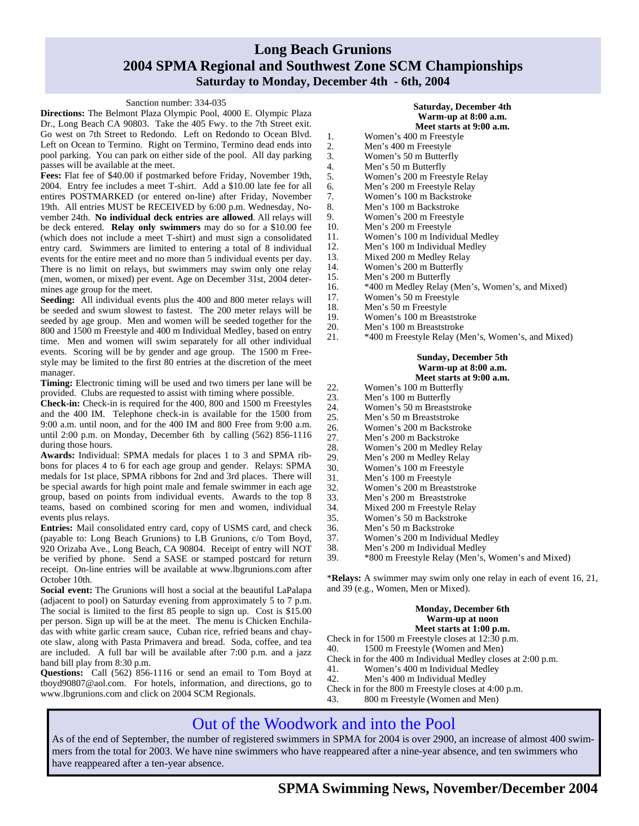# **Long Beach Grunions 2004 SPMA Regional and Southwest Zone SCM Championships Saturday to Monday, December 4th - 6th, 2004**

#### Sanction number: 334-035

**Directions:** The Belmont Plaza Olympic Pool, 4000 E. Olympic Plaza Dr., Long Beach CA 90803. Take the 405 Fwy. to the 7th Street exit. Go west on 7th Street to Redondo. Left on Redondo to Ocean Blvd. Left on Ocean to Termino. Right on Termino, Termino dead ends into pool parking. You can park on either side of the pool. All day parking passes will be available at the meet.

**Fees:** Flat fee of \$40.00 if postmarked before Friday, November 19th, 2004. Entry fee includes a meet T-shirt. Add a \$10.00 late fee for all entires POSTMARKED (or entered on-line) after Friday, November 19th. All entries MUST be RECEIVED by 6:00 p.m. Wednesday, November 24th. **No individual deck entries are allowed**. All relays will be deck entered. **Relay only swimmers** may do so for a \$10.00 fee (which does not include a meet T-shirt) and must sign a consolidated entry card. Swimmers are limited to entering a total of 8 individual events for the entire meet and no more than 5 individual events per day. There is no limit on relays, but swimmers may swim only one relay (men, women, or mixed) per event. Age on December 31st, 2004 determines age group for the meet.

**Seeding:** All individual events plus the 400 and 800 meter relays will be seeded and swum slowest to fastest. The 200 meter relays will be seeded by age group. Men and women will be seeded together for the 800 and 1500 m Freestyle and 400 m Individual Medley, based on entry time. Men and women will swim separately for all other individual events. Scoring will be by gender and age group. The 1500 m Freestyle may be limited to the first 80 entries at the discretion of the meet manager.

**Timing:** Electronic timing will be used and two timers per lane will be provided. Clubs are requested to assist with timing where possible.

**Check-in:** Check-in is required for the 400, 800 and 1500 m Freestyles and the 400 IM. Telephone check-in is available for the 1500 from 9:00 a.m. until noon, and for the 400 IM and 800 Free from 9:00 a.m. until 2:00 p.m. on Monday, December 6th by calling (562) 856-1116 during those hours.

**Awards:** Individual: SPMA medals for places 1 to 3 and SPMA ribbons for places 4 to 6 for each age group and gender. Relays: SPMA medals for 1st place, SPMA ribbons for 2nd and 3rd places. There will be special awards for high point male and female swimmer in each age group, based on points from individual events. Awards to the top 8 teams, based on combined scoring for men and women, individual events plus relays.

**Entries:** Mail consolidated entry card, copy of USMS card, and check (payable to: Long Beach Grunions) to LB Grunions, c/o Tom Boyd, 920 Orizaba Ave., Long Beach, CA 90804. Receipt of entry will NOT be verified by phone. Send a SASE or stamped postcard for return receipt. On-line entries will be available at www.lbgrunions.com after October 10th.

**Social event:** The Grunions will host a social at the beautiful LaPalapa (adjacent to pool) on Saturday evening from approximately 5 to 7 p.m. The social is limited to the first 85 people to sign up. Cost is \$15.00 per person. Sign up will be at the meet. The menu is Chicken Enchiladas with white garlic cream sauce, Cuban rice, refried beans and chayote slaw, along with Pasta Primavera and bread. Soda, coffee, and tea are included. A full bar will be available after 7:00 p.m. and a jazz band bill play from 8:30 p.m.

**Questions:** Call (562) 856-1116 or send an email to Tom Boyd at tboyd90807@aol.com. For hotels, information, and directions, go to www.lbgrunions.com and click on 2004 SCM Regionals.

#### **Saturday, December 4th Warm-up at 8:00 a.m. Meet starts at 9:00 a.m.**

- 1. Women's 400 m Freestyle 2. Men's 400 m Freestyle 3. Women's 50 m Butterfly 4. Men's 50 m Butterfly<br>5. Women's 200 m Frees 5. Women's 200 m Freestyle Relay 6. Men's 200 m Freestyle Relay 7. Women's 100 m Backstroke 8. Men's 100 m Backstroke 9. Women's 200 m Freestyle 10. Men's 200 m Freestyle 11. Women's 100 m Individual Medley 12. Men's 100 m Individual Medley<br>13. Mixed 200 m Medley Relay Mixed 200 m Medley Relay 14. Women's 200 m Butterfly 15. Men's 200 m Butterfly 16. \*400 m Medley Relay (Men's, Women's, and Mixed) 17. Women's 50 m Freestyle
- 18. Men's 50 m Freestyle
- 19. Women's 100 m Breaststroke
- 20. Men's 100 m Breaststroke
- 21. \*400 m Freestyle Relay (Men's, Women's, and Mixed)

#### **Sunday, December 5th Warm-up at 8:00 a.m. Meet starts at 9:00 a.m.**

- 22. Women's 100 m Butterfly<br>23. Men's 100 m Butterfly Men's 100 m Butterfly
- 24. Women's 50 m Breaststroke
- 25. Men's 50 m Breaststroke
- 26. Women's 200 m Backstroke
- 27. Men's 200 m Backstroke
- 28. Women's 200 m Medley Relay<br>29. Men's 200 m Medley Relay
	- Men's 200 m Medley Relay
- 30. Women's 100 m Freestyle
- 31. Men's 100 m Freestyle
- 32. Women's 200 m Breaststroke
- 33. Men's 200 m Breaststroke
- 34. Mixed 200 m Freestyle Relay 35. Women's 50 m Backstroke
- 36. Men's 50 m Backstroke
- 37. Women's 200 m Individual Medley
- 38. Men's 200 m Individual Medley
- 

39. \*800 m Freestyle Relay (Men's, Women's and Mixed)

\***Relays:** A swimmer may swim only one relay in each of event 16, 21, and 39 (e.g., Women, Men or Mixed).

#### **Monday, December 6th Warm-up at noon**

#### **Meet starts at 1:00 p.m.**

Check in for 1500 m Freestyle closes at 12:30 p.m. 40. 1500 m Freestyle (Women and Men)

Check in for the 400 m Individual Medley closes at 2:00 p.m.

- 41. Women's 400 m Individual Medley
- 42. Men's 400 m Individual Medley
- Check in for the 800 m Freestyle closes at 4:00 p.m.
- 43. 800 m Freestyle (Women and Men)

# Out of the Woodwork and into the Pool

As of the end of September, the number of registered swimmers in SPMA for 2004 is over 2900, an increase of almost 400 swimmers from the total for 2003. We have nine swimmers who have reappeared after a nine-year absence, and ten swimmers who have reappeared after a ten-year absence.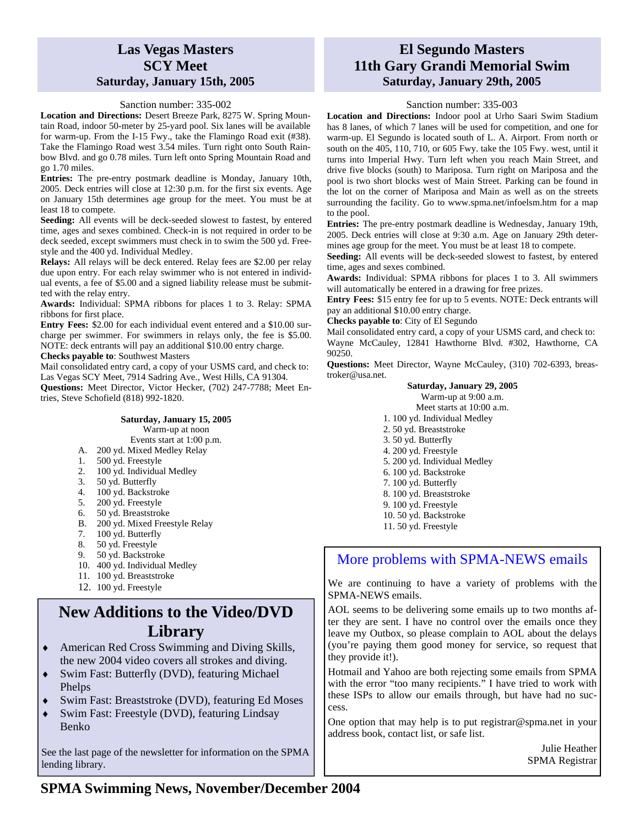# **Las Vegas Masters SCY Meet Saturday, January 15th, 2005**

#### Sanction number: 335-002

**Location and Directions:** Desert Breeze Park, 8275 W. Spring Mountain Road, indoor 50-meter by 25-yard pool. Six lanes will be available for warm-up. From the I-15 Fwy., take the Flamingo Road exit (#38). Take the Flamingo Road west 3.54 miles. Turn right onto South Rainbow Blvd. and go 0.78 miles. Turn left onto Spring Mountain Road and go 1.70 miles.

**Entries:** The pre-entry postmark deadline is Monday, January 10th, 2005. Deck entries will close at 12:30 p.m. for the first six events. Age on January 15th determines age group for the meet. You must be at least 18 to compete.

**Seeding:** All events will be deck-seeded slowest to fastest, by entered time, ages and sexes combined. Check-in is not required in order to be deck seeded, except swimmers must check in to swim the 500 yd. Freestyle and the 400 yd. Individual Medley.

**Relays:** All relays will be deck entered. Relay fees are \$2.00 per relay due upon entry. For each relay swimmer who is not entered in individual events, a fee of \$5.00 and a signed liability release must be submitted with the relay entry.

**Awards:** Individual: SPMA ribbons for places 1 to 3. Relay: SPMA ribbons for first place.

**Entry Fees:** \$2.00 for each individual event entered and a \$10.00 surcharge per swimmer. For swimmers in relays only, the fee is \$5.00. NOTE: deck entrants will pay an additional \$10.00 entry charge.

**Checks payable to**: Southwest Masters

Mail consolidated entry card, a copy of your USMS card, and check to: Las Vegas SCY Meet, 7914 Sadring Ave., West Hills, CA 91304.

**Questions:** Meet Director, Victor Hecker, (702) 247-7788; Meet Entries, Steve Schofield (818) 992-1820.

#### **Saturday, January 15, 2005**

Warm-up at noon

- Events start at 1:00 p.m.
- A. 200 yd. Mixed Medley Relay
- 1. 500 yd. Freestyle
- 2. 100 yd. Individual Medley
- 3. 50 yd. Butterfly
- 4. 100 yd. Backstroke
- 5. 200 yd. Freestyle
- 6. 50 yd. Breaststroke
- B. 200 yd. Mixed Freestyle Relay
- 7. 100 yd. Butterfly
- 8. 50 yd. Freestyle
- 9. 50 yd. Backstroke
- 10. 400 yd. Individual Medley
- 11. 100 yd. Breaststroke
- 12. 100 yd. Freestyle

# **New Additions to the Video/DVD Library**

- ♦ American Red Cross Swimming and Diving Skills, the new 2004 video covers all strokes and diving.
- Swim Fast: Butterfly (DVD), featuring Michael Phelps
- Swim Fast: Breaststroke (DVD), featuring Ed Moses
- Swim Fast: Freestyle (DVD), featuring Lindsay Benko

See the last page of the newsletter for information on the SPMA lending library.

# **El Segundo Masters 11th Gary Grandi Memorial Swim Saturday, January 29th, 2005**

#### Sanction number: 335-003

**Location and Directions:** Indoor pool at Urho Saari Swim Stadium has 8 lanes, of which 7 lanes will be used for competition, and one for warm-up. El Segundo is located south of L. A. Airport. From north or south on the 405, 110, 710, or 605 Fwy. take the 105 Fwy. west, until it turns into Imperial Hwy. Turn left when you reach Main Street, and drive five blocks (south) to Mariposa. Turn right on Mariposa and the pool is two short blocks west of Main Street. Parking can be found in the lot on the corner of Mariposa and Main as well as on the streets surrounding the facility. Go to www.spma.net/infoelsm.htm for a map to the pool.

**Entries:** The pre-entry postmark deadline is Wednesday, January 19th, 2005. Deck entries will close at 9:30 a.m. Age on January 29th determines age group for the meet. You must be at least 18 to compete.

**Seeding:** All events will be deck-seeded slowest to fastest, by entered time, ages and sexes combined.

**Awards:** Individual: SPMA ribbons for places 1 to 3. All swimmers will automatically be entered in a drawing for free prizes.

**Entry Fees:** \$15 entry fee for up to 5 events. NOTE: Deck entrants will pay an additional \$10.00 entry charge.

**Checks payable to**: City of El Segundo

Mail consolidated entry card, a copy of your USMS card, and check to: Wayne McCauley, 12841 Hawthorne Blvd. #302, Hawthorne, CA 90250.

**Questions:** Meet Director, Wayne McCauley, (310) 702-6393, breastroker@usa.net.

#### **Saturday, January 29, 2005**

Warm-up at 9:00 a.m.

- Meet starts at 10:00 a.m. 1. 100 yd. Individual Medley
- 2. 50 yd. Breaststroke
- 3. 50 yd. Butterfly
- 4. 200 yd. Freestyle
- 5. 200 yd. Individual Medley
- 6. 100 yd. Backstroke
- 7. 100 yd. Butterfly
- 8. 100 yd. Breaststroke
- 9. 100 yd. Freestyle
- 10. 50 yd. Backstroke
- 11. 50 yd. Freestyle

## More problems with SPMA-NEWS emails

We are continuing to have a variety of problems with the SPMA-NEWS emails.

AOL seems to be delivering some emails up to two months after they are sent. I have no control over the emails once they leave my Outbox, so please complain to AOL about the delays (you're paying them good money for service, so request that they provide it!).

Hotmail and Yahoo are both rejecting some emails from SPMA with the error "too many recipients." I have tried to work with these ISPs to allow our emails through, but have had no success.

One option that may help is to put registrar@spma.net in your address book, contact list, or safe list.

> Julie Heather SPMA Registrar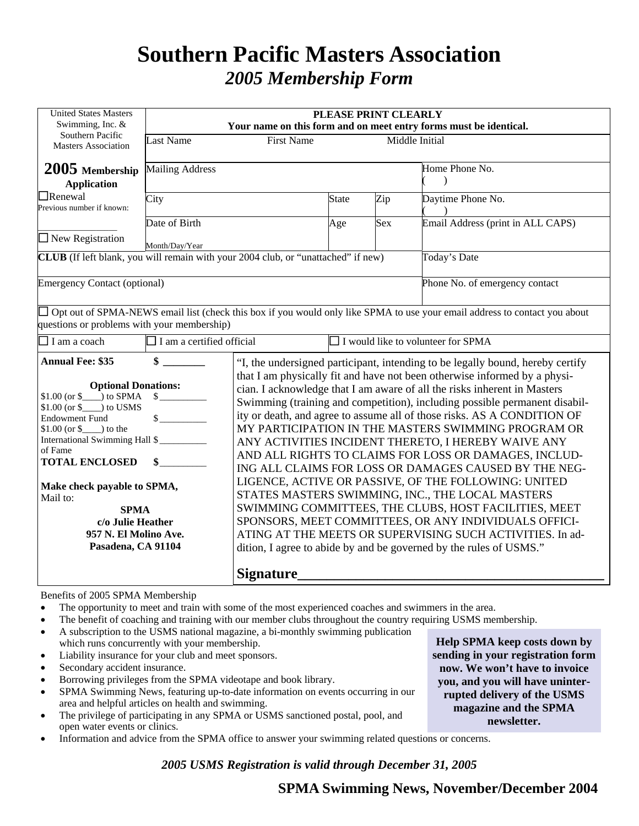# **Southern Pacific Masters Association**  *2005 Membership Form*

| <b>United States Masters</b><br>Swimming, Inc. $&$                                                                                                                                                                                                                                      |                                                                  | PLEASE PRINT CLEARLY<br>Your name on this form and on meet entry forms must be identical.                                                                                                                                                                                                                                                                                                                                                                                                                                                                                                                                                                                                                                                                                                                                                                                                                       |                                           |     |                                                                                                                            |  |  |
|-----------------------------------------------------------------------------------------------------------------------------------------------------------------------------------------------------------------------------------------------------------------------------------------|------------------------------------------------------------------|-----------------------------------------------------------------------------------------------------------------------------------------------------------------------------------------------------------------------------------------------------------------------------------------------------------------------------------------------------------------------------------------------------------------------------------------------------------------------------------------------------------------------------------------------------------------------------------------------------------------------------------------------------------------------------------------------------------------------------------------------------------------------------------------------------------------------------------------------------------------------------------------------------------------|-------------------------------------------|-----|----------------------------------------------------------------------------------------------------------------------------|--|--|
| Southern Pacific<br>Masters Association                                                                                                                                                                                                                                                 | <b>Last Name</b><br><b>First Name</b><br>Middle Initial          |                                                                                                                                                                                                                                                                                                                                                                                                                                                                                                                                                                                                                                                                                                                                                                                                                                                                                                                 |                                           |     |                                                                                                                            |  |  |
| $2005$ Membership<br><b>Application</b>                                                                                                                                                                                                                                                 | <b>Mailing Address</b>                                           |                                                                                                                                                                                                                                                                                                                                                                                                                                                                                                                                                                                                                                                                                                                                                                                                                                                                                                                 |                                           |     | Home Phone No.                                                                                                             |  |  |
| $\Box$ Renewal<br>Previous number if known:                                                                                                                                                                                                                                             | City                                                             |                                                                                                                                                                                                                                                                                                                                                                                                                                                                                                                                                                                                                                                                                                                                                                                                                                                                                                                 | <b>State</b>                              | Zip | Daytime Phone No.                                                                                                          |  |  |
| $\Box$ New Registration                                                                                                                                                                                                                                                                 | Date of Birth<br>Month/Day/Year                                  |                                                                                                                                                                                                                                                                                                                                                                                                                                                                                                                                                                                                                                                                                                                                                                                                                                                                                                                 | Age                                       | Sex | Email Address (print in ALL CAPS)                                                                                          |  |  |
| CLUB (If left blank, you will remain with your 2004 club, or "unattached" if new)                                                                                                                                                                                                       |                                                                  |                                                                                                                                                                                                                                                                                                                                                                                                                                                                                                                                                                                                                                                                                                                                                                                                                                                                                                                 |                                           |     | Today's Date                                                                                                               |  |  |
| <b>Emergency Contact (optional)</b>                                                                                                                                                                                                                                                     |                                                                  |                                                                                                                                                                                                                                                                                                                                                                                                                                                                                                                                                                                                                                                                                                                                                                                                                                                                                                                 |                                           |     | Phone No. of emergency contact                                                                                             |  |  |
| questions or problems with your membership)                                                                                                                                                                                                                                             |                                                                  |                                                                                                                                                                                                                                                                                                                                                                                                                                                                                                                                                                                                                                                                                                                                                                                                                                                                                                                 |                                           |     | Opt out of SPMA-NEWS email list (check this box if you would only like SPMA to use your email address to contact you about |  |  |
| $\Box$ I am a coach                                                                                                                                                                                                                                                                     | $\Box$ I am a certified official                                 |                                                                                                                                                                                                                                                                                                                                                                                                                                                                                                                                                                                                                                                                                                                                                                                                                                                                                                                 | $\Box$ I would like to volunteer for SPMA |     |                                                                                                                            |  |  |
| <b>Annual Fee: \$35</b>                                                                                                                                                                                                                                                                 | \$                                                               |                                                                                                                                                                                                                                                                                                                                                                                                                                                                                                                                                                                                                                                                                                                                                                                                                                                                                                                 |                                           |     | "I, the undersigned participant, intending to be legally bound, hereby certify                                             |  |  |
| <b>Optional Donations:</b><br>$$1.00 (or $)$ to SPMA<br>$$1.00$ (or \$ ) to USMS<br><b>Endowment Fund</b><br>$$1.00 (or \$ (b) to theInternational Swimming Hall $of FameTOTAL ENCLOSEDMake check payable to SPMA,Mail to:SPMAc/o Julie Heather957 N. El Molino Ave.Pasadena, CA 91104$ | $\frac{\text{S}}{\text{S}}$<br>$\frac{\text{S}}{\text{S}}$<br>\$ | that I am physically fit and have not been otherwise informed by a physi-<br>cian. I acknowledge that I am aware of all the risks inherent in Masters<br>Swimming (training and competition), including possible permanent disabil-<br>ity or death, and agree to assume all of those risks. AS A CONDITION OF<br>MY PARTICIPATION IN THE MASTERS SWIMMING PROGRAM OR<br>ANY ACTIVITIES INCIDENT THERETO, I HEREBY WAIVE ANY<br>AND ALL RIGHTS TO CLAIMS FOR LOSS OR DAMAGES, INCLUD-<br>ING ALL CLAIMS FOR LOSS OR DAMAGES CAUSED BY THE NEG-<br>LIGENCE, ACTIVE OR PASSIVE, OF THE FOLLOWING: UNITED<br>STATES MASTERS SWIMMING, INC., THE LOCAL MASTERS<br>SWIMMING COMMITTEES, THE CLUBS, HOST FACILITIES, MEET<br>SPONSORS, MEET COMMITTEES, OR ANY INDIVIDUALS OFFICI-<br>ATING AT THE MEETS OR SUPERVISING SUCH ACTIVITIES. In ad-<br>dition, I agree to abide by and be governed by the rules of USMS." |                                           |     |                                                                                                                            |  |  |
|                                                                                                                                                                                                                                                                                         |                                                                  | <b>Signature</b>                                                                                                                                                                                                                                                                                                                                                                                                                                                                                                                                                                                                                                                                                                                                                                                                                                                                                                |                                           |     |                                                                                                                            |  |  |

Benefits of 2005 SPMA Membership

- The opportunity to meet and train with some of the most experienced coaches and swimmers in the area.
- The benefit of coaching and training with our member clubs throughout the country requiring USMS membership.
- A subscription to the USMS national magazine, a bi-monthly swimming publication which runs concurrently with your membership.
- Liability insurance for your club and meet sponsors.
- Secondary accident insurance.
- Borrowing privileges from the SPMA videotape and book library.
- SPMA Swimming News, featuring up-to-date information on events occurring in our area and helpful articles on health and swimming.
- The privilege of participating in any SPMA or USMS sanctioned postal, pool, and open water events or clinics.
- Information and advice from the SPMA office to answer your swimming related questions or concerns.

*2005 USMS Registration is valid through December 31, 2005* 

**Help SPMA keep costs down by sending in your registration form now. We won't have to invoice you, and you will have uninterrupted delivery of the USMS magazine and the SPMA newsletter.**